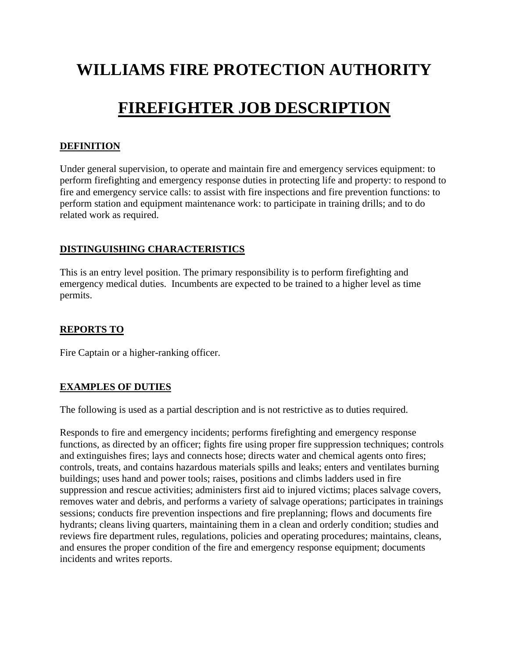# **WILLIAMS FIRE PROTECTION AUTHORITY**

# **FIREFIGHTER JOB DESCRIPTION**

#### **DEFINITION**

Under general supervision, to operate and maintain fire and emergency services equipment: to perform firefighting and emergency response duties in protecting life and property: to respond to fire and emergency service calls: to assist with fire inspections and fire prevention functions: to perform station and equipment maintenance work: to participate in training drills; and to do related work as required.

#### **DISTINGUISHING CHARACTERISTICS**

This is an entry level position. The primary responsibility is to perform firefighting and emergency medical duties. Incumbents are expected to be trained to a higher level as time permits.

#### **REPORTS TO**

Fire Captain or a higher-ranking officer.

### **EXAMPLES OF DUTIES**

The following is used as a partial description and is not restrictive as to duties required.

Responds to fire and emergency incidents; performs firefighting and emergency response functions, as directed by an officer; fights fire using proper fire suppression techniques; controls and extinguishes fires; lays and connects hose; directs water and chemical agents onto fires; controls, treats, and contains hazardous materials spills and leaks; enters and ventilates burning buildings; uses hand and power tools; raises, positions and climbs ladders used in fire suppression and rescue activities; administers first aid to injured victims; places salvage covers, removes water and debris, and performs a variety of salvage operations; participates in trainings sessions; conducts fire prevention inspections and fire preplanning; flows and documents fire hydrants; cleans living quarters, maintaining them in a clean and orderly condition; studies and reviews fire department rules, regulations, policies and operating procedures; maintains, cleans, and ensures the proper condition of the fire and emergency response equipment; documents incidents and writes reports.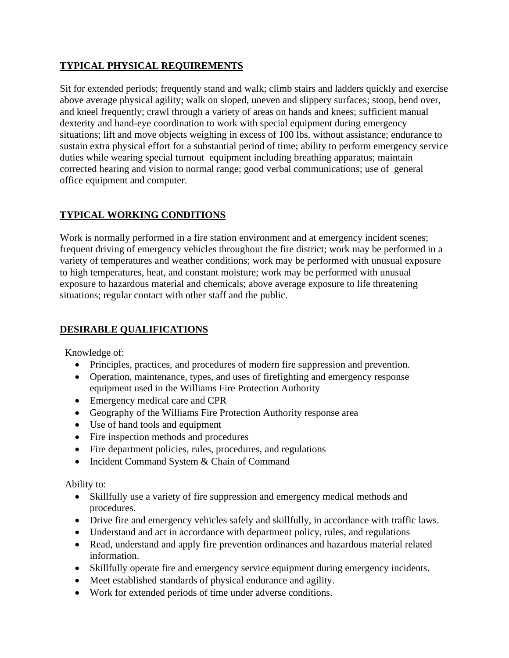### **TYPICAL PHYSICAL REQUIREMENTS**

Sit for extended periods; frequently stand and walk; climb stairs and ladders quickly and exercise above average physical agility; walk on sloped, uneven and slippery surfaces; stoop, bend over, and kneel frequently; crawl through a variety of areas on hands and knees; sufficient manual dexterity and hand-eye coordination to work with special equipment during emergency situations; lift and move objects weighing in excess of 100 lbs. without assistance; endurance to sustain extra physical effort for a substantial period of time; ability to perform emergency service duties while wearing special turnout equipment including breathing apparatus; maintain corrected hearing and vision to normal range; good verbal communications; use of general office equipment and computer.

## **TYPICAL WORKING CONDITIONS**

Work is normally performed in a fire station environment and at emergency incident scenes; frequent driving of emergency vehicles throughout the fire district; work may be performed in a variety of temperatures and weather conditions; work may be performed with unusual exposure to high temperatures, heat, and constant moisture; work may be performed with unusual exposure to hazardous material and chemicals; above average exposure to life threatening situations; regular contact with other staff and the public.

### **DESIRABLE QUALIFICATIONS**

Knowledge of:

- Principles, practices, and procedures of modern fire suppression and prevention.
- Operation, maintenance, types, and uses of firefighting and emergency response equipment used in the Williams Fire Protection Authority
- Emergency medical care and CPR
- Geography of the Williams Fire Protection Authority response area
- Use of hand tools and equipment
- Fire inspection methods and procedures
- Fire department policies, rules, procedures, and regulations
- Incident Command System & Chain of Command

Ability to:

- Skillfully use a variety of fire suppression and emergency medical methods and procedures.
- Drive fire and emergency vehicles safely and skillfully, in accordance with traffic laws.
- Understand and act in accordance with department policy, rules, and regulations
- Read, understand and apply fire prevention ordinances and hazardous material related information.
- Skillfully operate fire and emergency service equipment during emergency incidents.
- Meet established standards of physical endurance and agility.
- Work for extended periods of time under adverse conditions.